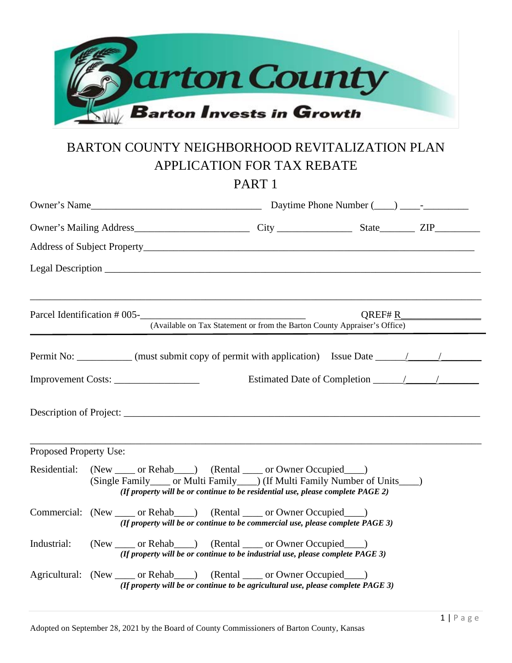

# BARTON COUNTY NEIGHBORHOOD REVITALIZATION PLAN APPLICATION FOR TAX REBATE

PART 1

|                        | Parcel Identification # 005-<br><u> </u>                                                                                                                                                                                                          | (Available on Tax Statement or from the Barton County Appraiser's Office) |  | $QREF\#R$ |  |
|------------------------|---------------------------------------------------------------------------------------------------------------------------------------------------------------------------------------------------------------------------------------------------|---------------------------------------------------------------------------|--|-----------|--|
|                        | Permit No: ___________ (must submit copy of permit with application) Issue Date ____________________                                                                                                                                              |                                                                           |  |           |  |
|                        | Improvement Costs:                                                                                                                                                                                                                                |                                                                           |  |           |  |
|                        |                                                                                                                                                                                                                                                   |                                                                           |  |           |  |
| Proposed Property Use: |                                                                                                                                                                                                                                                   |                                                                           |  |           |  |
|                        | Residential: (New _____ or Rehab____) (Rental _____ or Owner Occupied ____)<br>(Single Family_____ or Multi Family____) (If Multi Family Number of Units____)<br>(If property will be or continue to be residential use, please complete $PAGE$ ) |                                                                           |  |           |  |
|                        | Commercial: (New _____ or Rehab ___ ) (Rental _____ or Owner Occupied ___ )<br>(If property will be or continue to be commercial use, please complete PAGE 3)                                                                                     |                                                                           |  |           |  |
| Industrial:            | (New _____ or Rehab____) (Rental _____ or Owner Occupied ____)<br>(If property will be or continue to be industrial use, please complete PAGE 3)                                                                                                  |                                                                           |  |           |  |
|                        | Agricultural: (New _____ or Rehab____) (Rental _____ or Owner Occupied ____)<br>(If property will be or continue to be agricultural use, please complete PAGE 3)                                                                                  |                                                                           |  |           |  |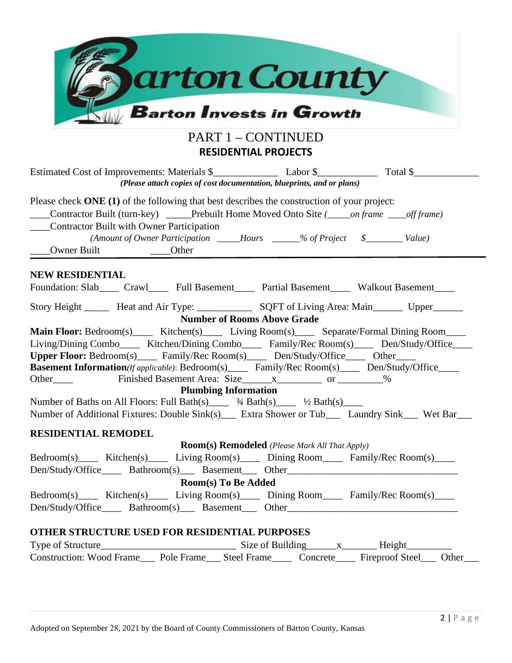| arton County                                                                                                                                                                                                                                                                                                                                                       |  |  |  |  |  |
|--------------------------------------------------------------------------------------------------------------------------------------------------------------------------------------------------------------------------------------------------------------------------------------------------------------------------------------------------------------------|--|--|--|--|--|
| <b>Barton Invests in Growth</b>                                                                                                                                                                                                                                                                                                                                    |  |  |  |  |  |
| <b>PART 1 - CONTINUED</b><br><b>RESIDENTIAL PROJECTS</b>                                                                                                                                                                                                                                                                                                           |  |  |  |  |  |
| (Please attach copies of cost documentation, blueprints, and or plans)                                                                                                                                                                                                                                                                                             |  |  |  |  |  |
| Please check ONE (1) of the following that best describes the construction of your project:<br>Contractor Built (turn-key) _____Prebuilt Home Moved Onto Site (_____on frame ____off frame)<br>Contractor Built with Owner Participation<br>(Amount of Owner Participation ______Hours ______% of Project \$_________ Value)<br>Owner Built _________________Other |  |  |  |  |  |
| <b>NEW RESIDENTIAL</b><br>Foundation: Slab____ Crawl_____ Full Basement_____ Partial Basement_____ Walkout Basement____                                                                                                                                                                                                                                            |  |  |  |  |  |
| Story Height _______ Heat and Air Type: _______________ SQFT of Living Area: Main_______ Upper______<br><b>Number of Rooms Above Grade</b><br>Main Floor: Bedroom(s) _____ Kitchen(s)______ Living Room(s)_____ Separate/Formal Dining Room_____                                                                                                                   |  |  |  |  |  |
| Living/Dining Combo_____ Kitchen/Dining Combo_____ Family/Rec Room(s)_____ Den/Study/Office____<br>Upper Floor: Bedroom(s) Family/Rec Room(s) Den/Study/Office Other                                                                                                                                                                                               |  |  |  |  |  |
| <b>Basement Information</b> ( <i>If applicable</i> ): Bedroom(s)_____ Family/Rec Room(s)____ Den/Study/Office____<br>Other Finished Basement Area: Size x ____________________________%                                                                                                                                                                            |  |  |  |  |  |
| <b>Plumbing Information</b><br>Number of Baths on All Floors: Full Bath(s) $\frac{3}{4}$ Bath(s) $\frac{1}{2}$ Bath(s)<br>Number of Additional Fixtures: Double Sink(s) Extra Shower or Tub Laundry Sink Wet Bar                                                                                                                                                   |  |  |  |  |  |
| <b>RESIDENTIAL REMODEL</b>                                                                                                                                                                                                                                                                                                                                         |  |  |  |  |  |
| <b>Room(s) Remodeled</b> (Please Mark All That Apply)<br>Bedroom(s) Kitchen(s) Living Room(s) Dining Room Family/Rec Room(s)                                                                                                                                                                                                                                       |  |  |  |  |  |
| Room(s) To Be Added<br>Bedroom(s) Kitchen(s) Living Room(s) Dining Room Family/Rec Room(s)                                                                                                                                                                                                                                                                         |  |  |  |  |  |
| OTHER STRUCTURE USED FOR RESIDENTIAL PURPOSES                                                                                                                                                                                                                                                                                                                      |  |  |  |  |  |
| Construction: Wood Frame____ Pole Frame____ Steel Frame_____ Concrete_____ Fireproof Steel____ Other____                                                                                                                                                                                                                                                           |  |  |  |  |  |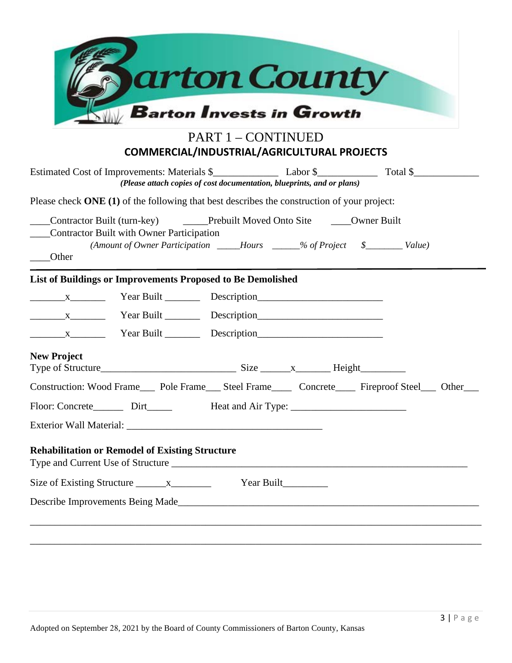| <b>Barton Invests in Growth</b><br><b>PART 1 – CONTINUED</b><br>COMMERCIAL/INDUSTRIAL/AGRICULTURAL PROJECTS<br>(Please attach copies of cost documentation, blueprints, and or plans)<br>Please check ONE (1) of the following that best describes the construction of your project:<br>Contractor Built (turn-key) Contractor Built Prebuilt Moved Onto Site Counter Built<br>Contractor Built with Owner Participation<br>(Amount of Owner Participation _____Hours _____% of Project \$________ Value)<br>_____Other<br>List of Buildings or Improvements Proposed to Be Demolished<br>$x_1, x_2, \ldots, x_n$ Year Built Description<br><b>New Project</b><br>Construction: Wood Frame____ Pole Frame____ Steel Frame_____ Concrete_____ Fireproof Steel____ Other_<br><b>Rehabilitation or Remodel of Existing Structure</b><br>Type and Current Use of Structure<br>Year Built_________<br>Describe Improvements Being Made | arton County |  |  |  |  |  |
|-----------------------------------------------------------------------------------------------------------------------------------------------------------------------------------------------------------------------------------------------------------------------------------------------------------------------------------------------------------------------------------------------------------------------------------------------------------------------------------------------------------------------------------------------------------------------------------------------------------------------------------------------------------------------------------------------------------------------------------------------------------------------------------------------------------------------------------------------------------------------------------------------------------------------------------|--------------|--|--|--|--|--|
|                                                                                                                                                                                                                                                                                                                                                                                                                                                                                                                                                                                                                                                                                                                                                                                                                                                                                                                                   |              |  |  |  |  |  |
|                                                                                                                                                                                                                                                                                                                                                                                                                                                                                                                                                                                                                                                                                                                                                                                                                                                                                                                                   |              |  |  |  |  |  |
|                                                                                                                                                                                                                                                                                                                                                                                                                                                                                                                                                                                                                                                                                                                                                                                                                                                                                                                                   |              |  |  |  |  |  |
|                                                                                                                                                                                                                                                                                                                                                                                                                                                                                                                                                                                                                                                                                                                                                                                                                                                                                                                                   |              |  |  |  |  |  |
|                                                                                                                                                                                                                                                                                                                                                                                                                                                                                                                                                                                                                                                                                                                                                                                                                                                                                                                                   |              |  |  |  |  |  |
|                                                                                                                                                                                                                                                                                                                                                                                                                                                                                                                                                                                                                                                                                                                                                                                                                                                                                                                                   |              |  |  |  |  |  |
|                                                                                                                                                                                                                                                                                                                                                                                                                                                                                                                                                                                                                                                                                                                                                                                                                                                                                                                                   |              |  |  |  |  |  |
|                                                                                                                                                                                                                                                                                                                                                                                                                                                                                                                                                                                                                                                                                                                                                                                                                                                                                                                                   |              |  |  |  |  |  |
|                                                                                                                                                                                                                                                                                                                                                                                                                                                                                                                                                                                                                                                                                                                                                                                                                                                                                                                                   |              |  |  |  |  |  |
|                                                                                                                                                                                                                                                                                                                                                                                                                                                                                                                                                                                                                                                                                                                                                                                                                                                                                                                                   |              |  |  |  |  |  |
|                                                                                                                                                                                                                                                                                                                                                                                                                                                                                                                                                                                                                                                                                                                                                                                                                                                                                                                                   |              |  |  |  |  |  |
|                                                                                                                                                                                                                                                                                                                                                                                                                                                                                                                                                                                                                                                                                                                                                                                                                                                                                                                                   |              |  |  |  |  |  |
|                                                                                                                                                                                                                                                                                                                                                                                                                                                                                                                                                                                                                                                                                                                                                                                                                                                                                                                                   |              |  |  |  |  |  |
|                                                                                                                                                                                                                                                                                                                                                                                                                                                                                                                                                                                                                                                                                                                                                                                                                                                                                                                                   |              |  |  |  |  |  |
|                                                                                                                                                                                                                                                                                                                                                                                                                                                                                                                                                                                                                                                                                                                                                                                                                                                                                                                                   |              |  |  |  |  |  |
|                                                                                                                                                                                                                                                                                                                                                                                                                                                                                                                                                                                                                                                                                                                                                                                                                                                                                                                                   |              |  |  |  |  |  |
|                                                                                                                                                                                                                                                                                                                                                                                                                                                                                                                                                                                                                                                                                                                                                                                                                                                                                                                                   |              |  |  |  |  |  |
|                                                                                                                                                                                                                                                                                                                                                                                                                                                                                                                                                                                                                                                                                                                                                                                                                                                                                                                                   |              |  |  |  |  |  |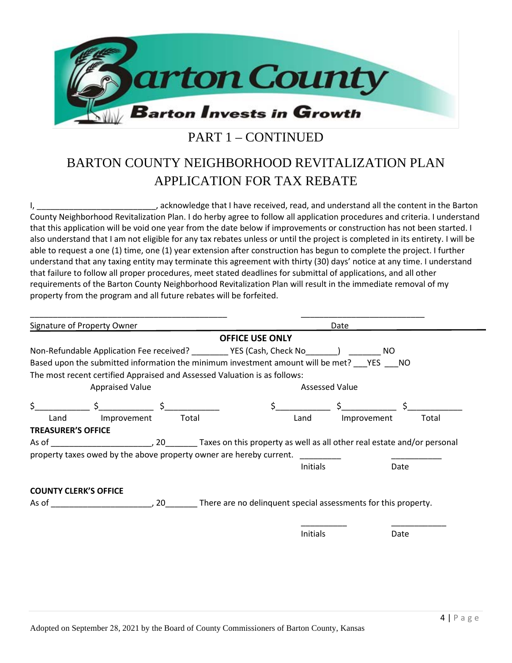

### PART 1 – CONTINUED

## BARTON COUNTY NEIGHBORHOOD REVITALIZATION PLAN APPLICATION FOR TAX REBATE

I, \_\_\_\_\_\_\_\_\_\_\_\_\_\_\_\_\_\_\_\_\_\_\_\_\_\_, acknowledge that I have received, read, and understand all the content in the Barton County Neighborhood Revitalization Plan. I do herby agree to follow all application procedures and criteria. I understand that this application will be void one year from the date below if improvements or construction has not been started. I also understand that I am not eligible for any tax rebates unless or until the project is completed in its entirety. I will be able to request a one (1) time, one (1) year extension after construction has begun to complete the project. I further understand that any taxing entity may terminate this agreement with thirty (30) days' notice at any time. I understand that failure to follow all proper procedures, meet stated deadlines for submittal of applications, and all other requirements of the Barton County Neighborhood Revitalization Plan will result in the immediate removal of my property from the program and all future rebates will be forfeited.

| Signature of Property Owner                                               | Date                                                                                                                                                                                                                                                                                                                |
|---------------------------------------------------------------------------|---------------------------------------------------------------------------------------------------------------------------------------------------------------------------------------------------------------------------------------------------------------------------------------------------------------------|
|                                                                           | <b>OFFICE USE ONLY</b>                                                                                                                                                                                                                                                                                              |
|                                                                           | NO.                                                                                                                                                                                                                                                                                                                 |
|                                                                           | Based upon the submitted information the minimum investment amount will be met? YES NO                                                                                                                                                                                                                              |
| The most recent certified Appraised and Assessed Valuation is as follows: |                                                                                                                                                                                                                                                                                                                     |
| <b>Appraised Value</b>                                                    | <b>Assessed Value</b>                                                                                                                                                                                                                                                                                               |
| Ś.<br>$\zeta$ , $\zeta$ , $\zeta$                                         | $\frac{1}{2}$ $\frac{1}{2}$ $\frac{1}{2}$ $\frac{1}{2}$ $\frac{1}{2}$ $\frac{1}{2}$ $\frac{1}{2}$ $\frac{1}{2}$ $\frac{1}{2}$ $\frac{1}{2}$ $\frac{1}{2}$ $\frac{1}{2}$ $\frac{1}{2}$ $\frac{1}{2}$ $\frac{1}{2}$ $\frac{1}{2}$ $\frac{1}{2}$ $\frac{1}{2}$ $\frac{1}{2}$ $\frac{1}{2}$ $\frac{1}{2}$ $\frac{1}{2}$ |
| Land<br>Improvement                                                       | Total<br>Improvement<br>Total<br>Land                                                                                                                                                                                                                                                                               |
|                                                                           |                                                                                                                                                                                                                                                                                                                     |
|                                                                           |                                                                                                                                                                                                                                                                                                                     |
| <b>TREASURER'S OFFICE</b>                                                 |                                                                                                                                                                                                                                                                                                                     |
|                                                                           |                                                                                                                                                                                                                                                                                                                     |
| property taxes owed by the above property owner are hereby current.       | <b>Initials</b><br>Date                                                                                                                                                                                                                                                                                             |
|                                                                           |                                                                                                                                                                                                                                                                                                                     |
| <b>COUNTY CLERK'S OFFICE</b>                                              |                                                                                                                                                                                                                                                                                                                     |
|                                                                           |                                                                                                                                                                                                                                                                                                                     |
|                                                                           |                                                                                                                                                                                                                                                                                                                     |
|                                                                           | <b>Initials</b><br>Date                                                                                                                                                                                                                                                                                             |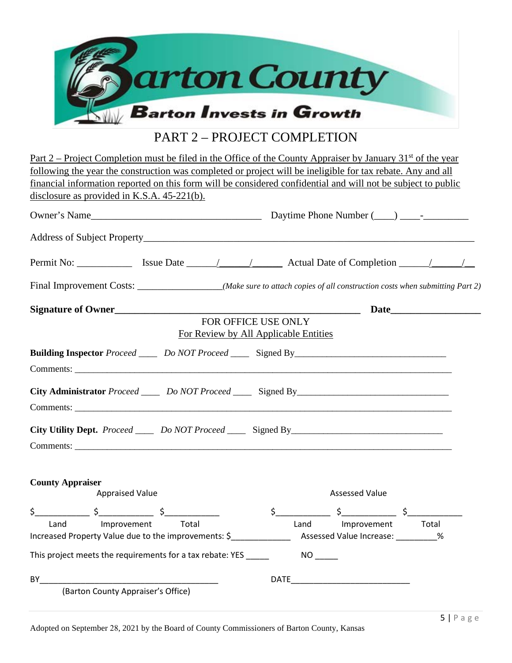

#### PART 2 – PROJECT COMPLETION

|                                                                                                                         | Part 2 – Project Completion must be filed in the Office of the County Appraiser by January 31 <sup>st</sup> of the year  |  |  |  |  |
|-------------------------------------------------------------------------------------------------------------------------|--------------------------------------------------------------------------------------------------------------------------|--|--|--|--|
| following the year the construction was completed or project will be ineligible for tax rebate. Any and all             |                                                                                                                          |  |  |  |  |
|                                                                                                                         | financial information reported on this form will be considered confidential and will not be subject to public            |  |  |  |  |
| disclosure as provided in K.S.A. $45-221(b)$ .                                                                          |                                                                                                                          |  |  |  |  |
|                                                                                                                         |                                                                                                                          |  |  |  |  |
|                                                                                                                         |                                                                                                                          |  |  |  |  |
|                                                                                                                         |                                                                                                                          |  |  |  |  |
|                                                                                                                         | Final Improvement Costs: __________________(Make sure to attach copies of all construction costs when submitting Part 2) |  |  |  |  |
| Signature of Owner                                                                                                      |                                                                                                                          |  |  |  |  |
|                                                                                                                         | FOR OFFICE USE ONLY                                                                                                      |  |  |  |  |
|                                                                                                                         | For Review by All Applicable Entities                                                                                    |  |  |  |  |
|                                                                                                                         | <b>Building Inspector</b> Proceed _______ Do NOT Proceed _______ Signed By_______________________________                |  |  |  |  |
|                                                                                                                         |                                                                                                                          |  |  |  |  |
|                                                                                                                         |                                                                                                                          |  |  |  |  |
|                                                                                                                         |                                                                                                                          |  |  |  |  |
|                                                                                                                         | City Utility Dept. Proceed ______ Do NOT Proceed _______ Signed By__________________________________                     |  |  |  |  |
|                                                                                                                         |                                                                                                                          |  |  |  |  |
|                                                                                                                         |                                                                                                                          |  |  |  |  |
|                                                                                                                         |                                                                                                                          |  |  |  |  |
| <b>County Appraiser</b><br><b>Appraised Value</b>                                                                       | <b>Assessed Value</b>                                                                                                    |  |  |  |  |
| $\sharp$<br>\$                                                                                                          | $\zeta$<br>\$                                                                                                            |  |  |  |  |
| Land<br>Improvement                                                                                                     | Total<br>Total<br>Land<br>Improvement                                                                                    |  |  |  |  |
| Increased Property Value due to the improvements: \$______________________________ Assessed Value Increase: __________% |                                                                                                                          |  |  |  |  |
| This project meets the requirements for a tax rebate: YES _____<br>$NO$ <sub>_____</sub>                                |                                                                                                                          |  |  |  |  |
|                                                                                                                         |                                                                                                                          |  |  |  |  |
| BY<br>(Barton County Appraiser's Office)                                                                                |                                                                                                                          |  |  |  |  |